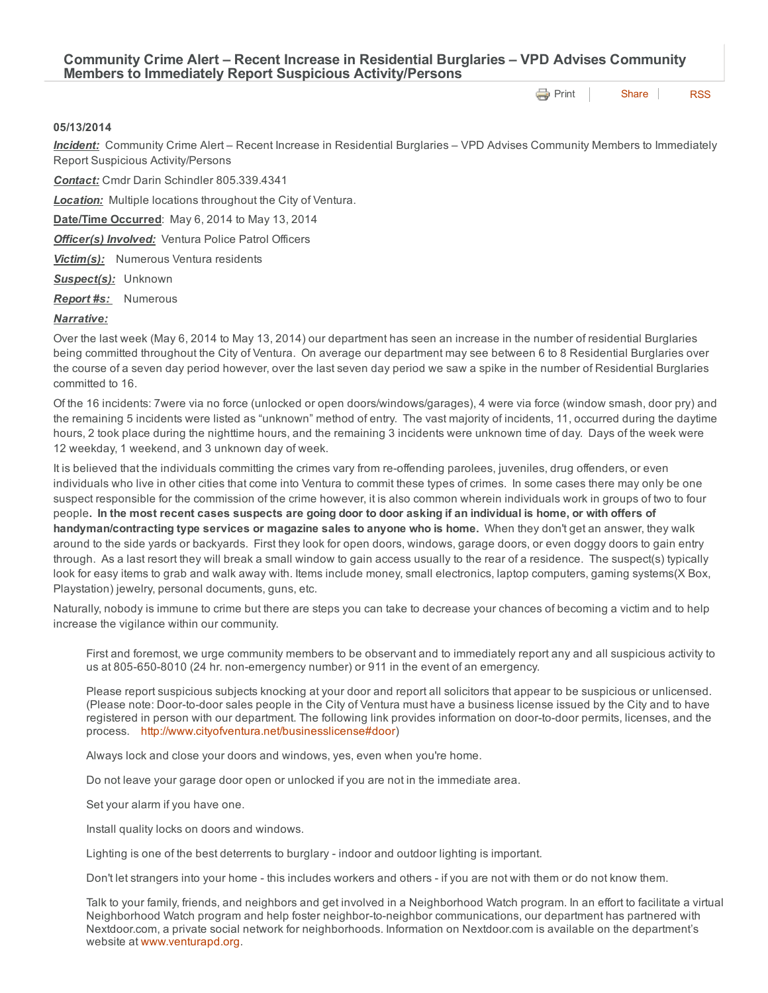**[Print](http://www.cityofventura.net/print/15796) | [Share](javascript:void(0)) | [RSS](http://www.cityofventura.net/feed/press_release/rss.xml)** 

## 05/13/2014

*Incident:* Community Crime Alert – Recent Increase in Residential Burglaries – VPD Advises Community Members to Immediately Report Suspicious Activity/Persons

*Contact:* Cmdr Darin Schindler 805.339.4341

*Location:* Multiple locations throughout the City of Ventura.

Date/Time Occurred: May 6, 2014 to May 13, 2014

*Officer(s) Involved:* Ventura Police Patrol Officers

*Victim(s):* Numerous Ventura residents

*Suspect(s):* Unknown

*Report #s:* Numerous

## *Narrative:*

Over the last week (May 6, 2014 to May 13, 2014) our department has seen an increase in the number of residential Burglaries being committed throughout the City of Ventura. On average our department may see between 6 to 8 Residential Burglaries over the course of a seven day period however, over the last seven day period we saw a spike in the number of Residential Burglaries committed to 16.

Of the 16 incidents: 7were via no force (unlocked or open doors/windows/garages), 4 were via force (window smash, door pry) and the remaining 5 incidents were listed as "unknown" method of entry. The vast majority of incidents, 11, occurred during the daytime hours, 2 took place during the nighttime hours, and the remaining 3 incidents were unknown time of day. Days of the week were 12 weekday, 1 weekend, and 3 unknown day of week.

It is believed that the individuals committing the crimes vary from re-offending parolees, juveniles, drug offenders, or even individuals who live in other cities that come into Ventura to commit these types of crimes. In some cases there may only be one suspect responsible for the commission of the crime however, it is also common wherein individuals work in groups of two to four people. In the most recent cases suspects are going door to door asking if an individual is home, or with offers of handyman/contracting type services or magazine sales to anyone who is home. When they don't get an answer, they walk around to the side yards or backyards. First they look for open doors, windows, garage doors, or even doggy doors to gain entry through. As a last resort they will break a small window to gain access usually to the rear of a residence. The suspect(s) typically look for easy items to grab and walk away with. Items include money, small electronics, laptop computers, gaming systems(X Box, Playstation) jewelry, personal documents, guns, etc.

Naturally, nobody is immune to crime but there are steps you can take to decrease your chances of becoming a victim and to help increase the vigilance within our community.

First and foremost, we urge community members to be observant and to immediately report any and all suspicious activity to us at 805-650-8010 (24 hr. non-emergency number) or 911 in the event of an emergency.

Please report suspicious subjects knocking at your door and report all solicitors that appear to be suspicious or unlicensed. (Please note: Door-to-door sales people in the City of Ventura must have a business license issued by the City and to have registered in person with our department. The following link provides information on door-to-door permits, licenses, and the process. <http://www.cityofventura.net/businesslicense#door>)

Always lock and close your doors and windows, yes, even when you're home.

Do not leave your garage door open or unlocked if you are not in the immediate area.

Set your alarm if you have one.

Install quality locks on doors and windows.

Lighting is one of the best deterrents to burglary - indoor and outdoor lighting is important.

Don't let strangers into your home - this includes workers and others - if you are not with them or do not know them.

Talk to your family, friends, and neighbors and get involved in a Neighborhood Watch program. In an effort to facilitate a virtual Neighborhood Watch program and help foster neighbor-to-neighbor communications, our department has partnered with Nextdoor.com, a private social network for neighborhoods. Information on Nextdoor.com is available on the department's website at [www.venturapd.org](http://www.venturapd.org/).